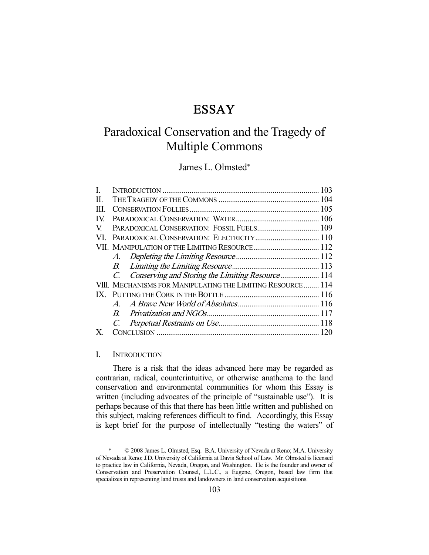# ESSAY

# Paradoxical Conservation and the Tragedy of Multiple Commons

# James L. Olmsted\*

| П.   |                                                             |  |
|------|-------------------------------------------------------------|--|
| III. |                                                             |  |
| IV.  |                                                             |  |
| V.   |                                                             |  |
| VI.  | PARADOXICAL CONSERVATION: ELECTRICITY 110                   |  |
|      |                                                             |  |
|      | A.                                                          |  |
|      | B.                                                          |  |
|      | C. Conserving and Storing the Limiting Resource 114         |  |
|      | VIII. MECHANISMS FOR MANIPULATING THE LIMITING RESOURCE 114 |  |
|      |                                                             |  |
|      | $\overline{A}$                                              |  |
|      | $B_{\cdot}$                                                 |  |
|      | $C_{\cdot}$                                                 |  |
| X.   |                                                             |  |

# I. INTRODUCTION

-

 There is a risk that the ideas advanced here may be regarded as contrarian, radical, counterintuitive, or otherwise anathema to the land conservation and environmental communities for whom this Essay is written (including advocates of the principle of "sustainable use"). It is perhaps because of this that there has been little written and published on this subject, making references difficult to find. Accordingly, this Essay is kept brief for the purpose of intellectually "testing the waters" of

 <sup>\* © 2008</sup> James L. Olmsted, Esq. B.A. University of Nevada at Reno; M.A. University of Nevada at Reno; J.D. University of California at Davis School of Law. Mr. Olmsted is licensed to practice law in California, Nevada, Oregon, and Washington. He is the founder and owner of Conservation and Preservation Counsel, L.L.C., a Eugene, Oregon, based law firm that specializes in representing land trusts and landowners in land conservation acquisitions.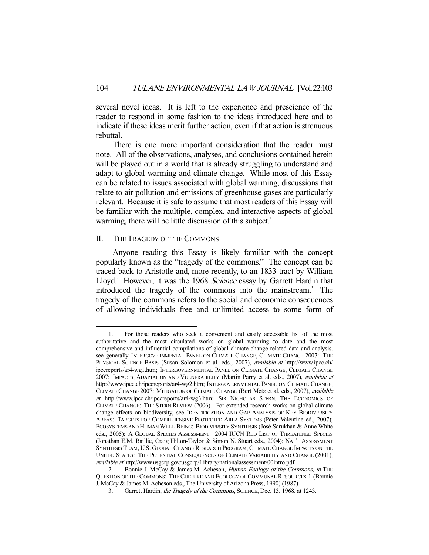several novel ideas. It is left to the experience and prescience of the reader to respond in some fashion to the ideas introduced here and to indicate if these ideas merit further action, even if that action is strenuous rebuttal.

 There is one more important consideration that the reader must note. All of the observations, analyses, and conclusions contained herein will be played out in a world that is already struggling to understand and adapt to global warming and climate change. While most of this Essay can be related to issues associated with global warming, discussions that relate to air pollution and emissions of greenhouse gases are particularly relevant. Because it is safe to assume that most readers of this Essay will be familiar with the multiple, complex, and interactive aspects of global warming, there will be little discussion of this subject.<sup>1</sup>

#### II. THE TRAGEDY OF THE COMMONS

-

 Anyone reading this Essay is likely familiar with the concept popularly known as the "tragedy of the commons." The concept can be traced back to Aristotle and, more recently, to an 1833 tract by William Lloyd.<sup>2</sup> However, it was the 1968 Science essay by Garrett Hardin that introduced the tragedy of the commons into the mainstream.<sup>3</sup> The tragedy of the commons refers to the social and economic consequences of allowing individuals free and unlimited access to some form of

 <sup>1.</sup> For those readers who seek a convenient and easily accessible list of the most authoritative and the most circulated works on global warming to date and the most comprehensive and influential compilations of global climate change related data and analysis, see generally INTERGOVERNMENTAL PANEL ON CLIMATE CHANGE, CLIMATE CHANGE 2007: THE PHYSICAL SCIENCE BASIS (Susan Solomon et al. eds., 2007), available at http://www.ipcc.ch/ ipccreports/ar4-wg1.htm; INTERGOVERNMENTAL PANEL ON CLIMATE CHANGE, CLIMATE CHANGE 2007: IMPACTS, ADAPTATION AND VULNERABILITY (Martin Parry et al. eds., 2007), available at http://www.ipcc.ch/ipccreports/ar4-wg2.htm; INTERGOVERNMENTAL PANEL ON CLIMATE CHANGE, CLIMATE CHANGE 2007: MITIGATION OF CLIMATE CHANGE (Bert Metz et al. eds., 2007), available at http://www.ipcc.ch/ipccreports/ar4-wg3.htm; SIR NICHOLAS STERN, THE ECONOMICS OF CLIMATE CHANGE: THE STERN REVIEW (2006). For extended research works on global climate change effects on biodiversity, see IDENTIFICATION AND GAP ANALYSIS OF KEY BIODIVERSITY AREAS: TARGETS FOR COMPREHENSIVE PROTECTED AREA SYSTEMS (Peter Valentine ed., 2007); ECOSYSTEMS AND HUMAN WELL-BEING: BIODIVERSITY SYNTHESIS (José Sarukhan & Anne White eds., 2005); A GLOBAL SPECIES ASSESSMENT: 2004 IUCN RED LIST OF THREATENED SPECIES (Jonathan E.M. Baillie, Craig Hilton-Taylor & Simon N. Stuart eds., 2004); NAT'L ASSESSMENT SYNTHESIS TEAM, U.S. GLOBAL CHANGE RESEARCH PROGRAM, CLIMATE CHANGE IMPACTS ON THE UNITED STATES: THE POTENTIAL CONSEQUENCES OF CLIMATE VARIABILITY AND CHANGE (2001), available at http://www.usgcrp.gov/usgcrp/Library/nationalassessment/00intro.pdf.

<sup>2.</sup> Bonnie J. McCay & James M. Acheson, Human Ecology of the Commons, in THE QUESTION OF THE COMMONS: THE CULTURE AND ECOLOGY OF COMMUNAL RESOURCES 1 (Bonnie J. McCay & James M. Acheson eds., The University of Arizona Press, 1990) (1987).

<sup>3.</sup> Garrett Hardin, the Tragedy of the Commons, SCIENCE, Dec. 13, 1968, at 1243.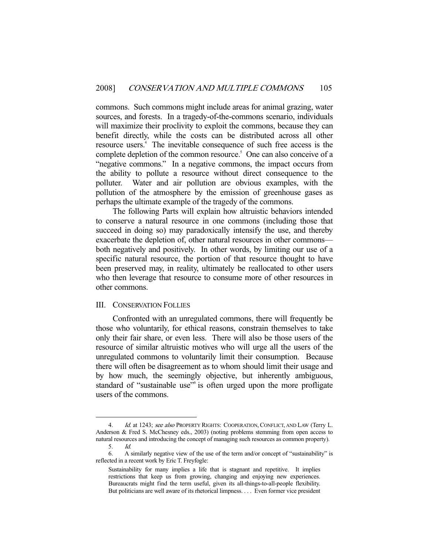commons. Such commons might include areas for animal grazing, water sources, and forests. In a tragedy-of-the-commons scenario, individuals will maximize their proclivity to exploit the commons, because they can benefit directly, while the costs can be distributed across all other resource users.<sup>4</sup> The inevitable consequence of such free access is the complete depletion of the common resource.<sup>5</sup> One can also conceive of a "negative commons." In a negative commons, the impact occurs from the ability to pollute a resource without direct consequence to the polluter. Water and air pollution are obvious examples, with the pollution of the atmosphere by the emission of greenhouse gases as perhaps the ultimate example of the tragedy of the commons.

 The following Parts will explain how altruistic behaviors intended to conserve a natural resource in one commons (including those that succeed in doing so) may paradoxically intensify the use, and thereby exacerbate the depletion of, other natural resources in other commons both negatively and positively. In other words, by limiting our use of a specific natural resource, the portion of that resource thought to have been preserved may, in reality, ultimately be reallocated to other users who then leverage that resource to consume more of other resources in other commons.

#### III. CONSERVATION FOLLIES

-

 Confronted with an unregulated commons, there will frequently be those who voluntarily, for ethical reasons, constrain themselves to take only their fair share, or even less. There will also be those users of the resource of similar altruistic motives who will urge all the users of the unregulated commons to voluntarily limit their consumption. Because there will often be disagreement as to whom should limit their usage and by how much, the seemingly objective, but inherently ambiguous, standard of "sustainable use" is often urged upon the more profligate users of the commons.

Id. at 1243; see also PROPERTY RIGHTS: COOPERATION, CONFLICT, AND LAW (Terry L. Anderson & Fred S. McChesney eds., 2003) (noting problems stemming from open access to natural resources and introducing the concept of managing such resources as common property).<br>5. Id.  $Id.$ 

 <sup>6.</sup> A similarly negative view of the use of the term and/or concept of "sustainability" is reflected in a recent work by Eric T. Freyfogle:

Sustainability for many implies a life that is stagnant and repetitive. It implies restrictions that keep us from growing, changing and enjoying new experiences. Bureaucrats might find the term useful, given its all-things-to-all-people flexibility. But politicians are well aware of its rhetorical limpness. . . . Even former vice president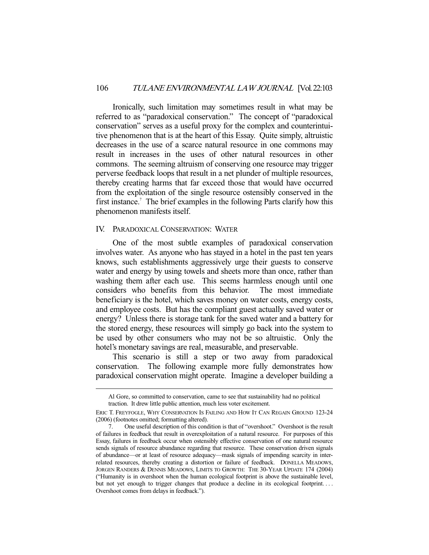Ironically, such limitation may sometimes result in what may be referred to as "paradoxical conservation." The concept of "paradoxical conservation" serves as a useful proxy for the complex and counterintuitive phenomenon that is at the heart of this Essay. Quite simply, altruistic decreases in the use of a scarce natural resource in one commons may result in increases in the uses of other natural resources in other commons. The seeming altruism of conserving one resource may trigger perverse feedback loops that result in a net plunder of multiple resources, thereby creating harms that far exceed those that would have occurred from the exploitation of the single resource ostensibly conserved in the first instance.<sup>7</sup> The brief examples in the following Parts clarify how this phenomenon manifests itself.

#### IV. PARADOXICAL CONSERVATION: WATER

 One of the most subtle examples of paradoxical conservation involves water. As anyone who has stayed in a hotel in the past ten years knows, such establishments aggressively urge their guests to conserve water and energy by using towels and sheets more than once, rather than washing them after each use. This seems harmless enough until one considers who benefits from this behavior. The most immediate beneficiary is the hotel, which saves money on water costs, energy costs, and employee costs. But has the compliant guest actually saved water or energy? Unless there is storage tank for the saved water and a battery for the stored energy, these resources will simply go back into the system to be used by other consumers who may not be so altruistic. Only the hotel's monetary savings are real, measurable, and preservable.

 This scenario is still a step or two away from paradoxical conservation. The following example more fully demonstrates how paradoxical conservation might operate. Imagine a developer building a

Al Gore, so committed to conservation, came to see that sustainability had no political traction. It drew little public attention, much less voter excitement.

ERIC T. FREYFOGLE, WHY CONSERVATION IS FAILING AND HOW IT CAN REGAIN GROUND 123-24 (2006) (footnotes omitted; formatting altered).

 <sup>7.</sup> One useful description of this condition is that of "overshoot." Overshoot is the result of failures in feedback that result in overexploitation of a natural resource. For purposes of this Essay, failures in feedback occur when ostensibly effective conservation of one natural resource sends signals of resource abundance regarding that resource. These conservation driven signals of abundance—or at least of resource adequacy—mask signals of impending scarcity in interrelated resources, thereby creating a distortion or failure of feedback. DONELLA MEADOWS, JORGEN RANDERS & DENNIS MEADOWS, LIMITS TO GROWTH: THE 30-YEAR UPDATE 174 (2004) ("Humanity is in overshoot when the human ecological footprint is above the sustainable level, but not yet enough to trigger changes that produce a decline in its ecological footprint.... Overshoot comes from delays in feedback.").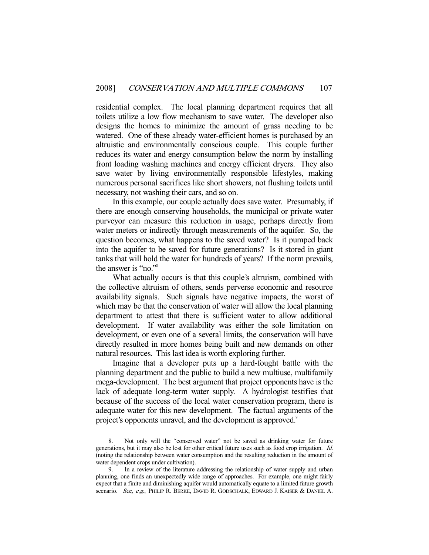residential complex. The local planning department requires that all toilets utilize a low flow mechanism to save water. The developer also designs the homes to minimize the amount of grass needing to be watered. One of these already water-efficient homes is purchased by an altruistic and environmentally conscious couple. This couple further reduces its water and energy consumption below the norm by installing front loading washing machines and energy efficient dryers. They also save water by living environmentally responsible lifestyles, making numerous personal sacrifices like short showers, not flushing toilets until necessary, not washing their cars, and so on.

 In this example, our couple actually does save water. Presumably, if there are enough conserving households, the municipal or private water purveyor can measure this reduction in usage, perhaps directly from water meters or indirectly through measurements of the aquifer. So, the question becomes, what happens to the saved water? Is it pumped back into the aquifer to be saved for future generations? Is it stored in giant tanks that will hold the water for hundreds of years? If the norm prevails, the answer is "no."8

 What actually occurs is that this couple's altruism, combined with the collective altruism of others, sends perverse economic and resource availability signals. Such signals have negative impacts, the worst of which may be that the conservation of water will allow the local planning department to attest that there is sufficient water to allow additional development. If water availability was either the sole limitation on development, or even one of a several limits, the conservation will have directly resulted in more homes being built and new demands on other natural resources. This last idea is worth exploring further.

 Imagine that a developer puts up a hard-fought battle with the planning department and the public to build a new multiuse, multifamily mega-development. The best argument that project opponents have is the lack of adequate long-term water supply. A hydrologist testifies that because of the success of the local water conservation program, there is adequate water for this new development. The factual arguments of the project's opponents unravel, and the development is approved.<sup>9</sup>

 <sup>8.</sup> Not only will the "conserved water" not be saved as drinking water for future generations, but it may also be lost for other critical future uses such as food crop irrigation. Id. (noting the relationship between water consumption and the resulting reduction in the amount of water dependent crops under cultivation).

 <sup>9.</sup> In a review of the literature addressing the relationship of water supply and urban planning, one finds an unexpectedly wide range of approaches. For example, one might fairly expect that a finite and diminishing aquifer would automatically equate to a limited future growth scenario. See, e.g., PHILIP R. BERKE, DAVID R. GODSCHALK, EDWARD J. KAISER & DANIEL A.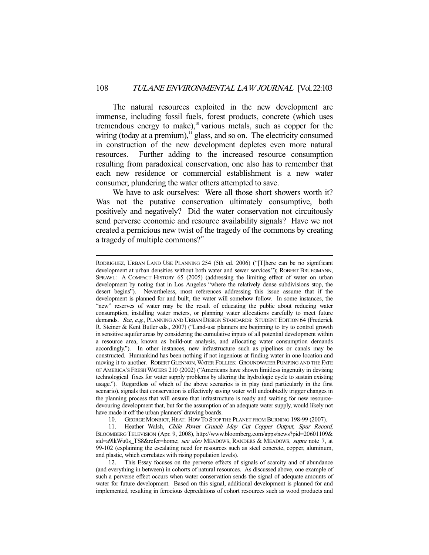The natural resources exploited in the new development are immense, including fossil fuels, forest products, concrete (which uses tremendous energy to make),<sup>10</sup> various metals, such as copper for the wiring (today at a premium), $\frac{11}{11}$  glass, and so on. The electricity consumed in construction of the new development depletes even more natural resources. Further adding to the increased resource consumption resulting from paradoxical conservation, one also has to remember that each new residence or commercial establishment is a new water consumer, plundering the water others attempted to save.

 We have to ask ourselves: Were all those short showers worth it? Was not the putative conservation ultimately consumptive, both positively and negatively? Did the water conservation not circuitously send perverse economic and resource availability signals? Have we not created a pernicious new twist of the tragedy of the commons by creating a tragedy of multiple commons? $12$ 

-

10. GEORGE MONBIOT, HEAT: HOW TO STOP THE PLANET FROM BURNING 198-99 (2007).

11. Heather Walsh, Chile Power Crunch May Cut Copper Output, Spur Record, BLOOMBERG TELEVISION (Apr. 9, 2008), http://www.bloomberg.com/apps/news?pid=20601109& sid=a9lkWu0s\_TS8&refer=home; see also MEADOWS, RANDERS & MEADOWS, supra note 7, at 99-102 (explaining the escalating need for resources such as steel concrete, copper, aluminum, and plastic, which correlates with rising population levels).

 12. This Essay focuses on the perverse effects of signals of scarcity and of abundance (and everything in between) in cohorts of natural resources. As discussed above, one example of such a perverse effect occurs when water conservation sends the signal of adequate amounts of water for future development. Based on this signal, additional development is planned for and implemented, resulting in ferocious depredations of cohort resources such as wood products and

RODRIGUEZ, URBAN LAND USE PLANNING 254 (5th ed. 2006) ("[T]here can be no significant development at urban densities without both water and sewer services."); ROBERT BRUEGMANN, SPRAWL: A COMPACT HISTORY 65 (2005) (addressing the limiting effect of water on urban development by noting that in Los Angeles "where the relatively dense subdivisions stop, the desert begins"). Nevertheless, most references addressing this issue assume that if the development is planned for and built, the water will somehow follow. In some instances, the "new" reserves of water may be the result of educating the public about reducing water consumption, installing water meters, or planning water allocations carefully to meet future demands. See, e.g., PLANNING AND URBAN DESIGN STANDARDS: STUDENT EDITION 64 (Frederick R. Steiner & Kent Butler eds., 2007) ("Land-use planners are beginning to try to control growth in sensitive aquifer areas by considering the cumulative inputs of all potential development within a resource area, known as build-out analysis, and allocating water consumption demands accordingly."). In other instances, new infrastructure such as pipelines or canals may be constructed. Humankind has been nothing if not ingenious at finding water in one location and moving it to another. ROBERT GLENNON,WATER FOLLIES: GROUNDWATER PUMPING AND THE FATE OF AMERICA'S FRESH WATERS 210 (2002) ("Americans have shown limitless ingenuity in devising technological fixes for water supply problems by altering the hydrologic cycle to sustain existing usage."). Regardless of which of the above scenarios is in play (and particularly in the first scenario), signals that conservation is effectively saving water will undoubtedly trigger changes in the planning process that will ensure that infrastructure is ready and waiting for new resourcedevouring development that, but for the assumption of an adequate water supply, would likely not have made it off the urban planners' drawing boards.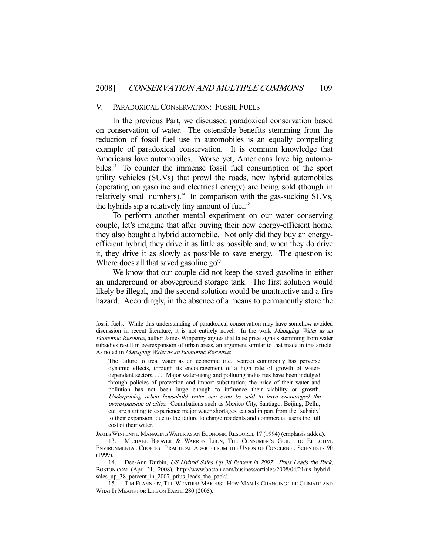#### V. PARADOXICAL CONSERVATION: FOSSIL FUELS

 In the previous Part, we discussed paradoxical conservation based on conservation of water. The ostensible benefits stemming from the reduction of fossil fuel use in automobiles is an equally compelling example of paradoxical conservation. It is common knowledge that Americans love automobiles. Worse yet, Americans love big automobiles.13 To counter the immense fossil fuel consumption of the sport utility vehicles (SUVs) that prowl the roads, new hybrid automobiles (operating on gasoline and electrical energy) are being sold (though in relatively small numbers). $14$  In comparison with the gas-sucking SUVs, the hybrids sip a relatively tiny amount of fuel. $15$ 

 To perform another mental experiment on our water conserving couple, let's imagine that after buying their new energy-efficient home, they also bought a hybrid automobile. Not only did they buy an energyefficient hybrid, they drive it as little as possible and, when they do drive it, they drive it as slowly as possible to save energy. The question is: Where does all that saved gasoline go?

 We know that our couple did not keep the saved gasoline in either an underground or aboveground storage tank. The first solution would likely be illegal, and the second solution would be unattractive and a fire hazard. Accordingly, in the absence of a means to permanently store the

fossil fuels. While this understanding of paradoxical conservation may have somehow avoided discussion in recent literature, it is not entirely novel. In the work Managing Water as an Economic Resource, author James Winpenny argues that false price signals stemming from water subsidies result in overexpansion of urban areas, an argument similar to that made in this article. As noted in *Managing Water as an Economic Resource*:

The failure to treat water as an economic (i.e., scarce) commodity has perverse dynamic effects, through its encouragement of a high rate of growth of waterdependent sectors. . . . Major water-using and polluting industries have been indulged through policies of protection and import substitution; the price of their water and pollution has not been large enough to influence their viability or growth. Underpricing urban household water can even be said to have encouraged the overexpansion of cities. Conurbations such as Mexico City, Santiago, Beijing, Delhi, etc. are starting to experience major water shortages, caused in part from the 'subsidy' to their expansion, due to the failure to charge residents and commercial users the full cost of their water.

JAMES WINPENNY, MANAGING WATER AS AN ECONOMIC RESOURCE 17 (1994) (emphasis added).

<sup>13.</sup> MICHAEL BROWER & WARREN LEON, THE CONSUMER'S GUIDE TO EFFECTIVE ENVIRONMENTAL CHOICES: PRACTICAL ADVICE FROM THE UNION OF CONCERNED SCIENTISTS 90 (1999).

<sup>14.</sup> Dee-Ann Durbin, US Hybrid Sales Up 38 Percent in 2007: Prius Leads the Pack, BOSTON.COM (Apr. 21, 2008), http://www.boston.com/business/articles/2008/04/21/us\_hybrid\_ sales\_up\_38\_percent\_in\_2007\_prius\_leads\_the\_pack/.

 <sup>15.</sup> TIM FLANNERY, THE WEATHER MAKERS: HOW MAN IS CHANGING THE CLIMATE AND WHAT IT MEANS FOR LIFE ON EARTH 280 (2005).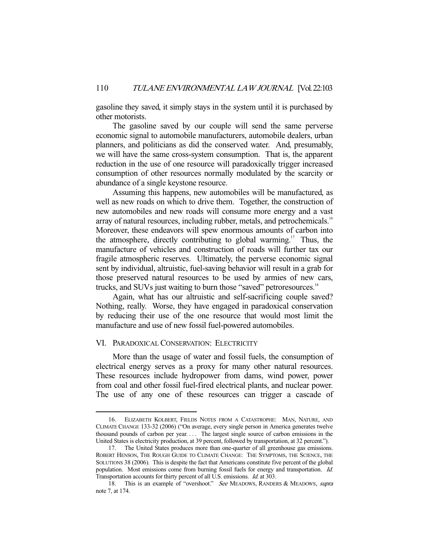gasoline they saved, it simply stays in the system until it is purchased by other motorists.

 The gasoline saved by our couple will send the same perverse economic signal to automobile manufacturers, automobile dealers, urban planners, and politicians as did the conserved water. And, presumably, we will have the same cross-system consumption. That is, the apparent reduction in the use of one resource will paradoxically trigger increased consumption of other resources normally modulated by the scarcity or abundance of a single keystone resource.

 Assuming this happens, new automobiles will be manufactured, as well as new roads on which to drive them. Together, the construction of new automobiles and new roads will consume more energy and a vast array of natural resources, including rubber, metals, and petrochemicals.<sup>16</sup> Moreover, these endeavors will spew enormous amounts of carbon into the atmosphere, directly contributing to global warming.<sup>17</sup> Thus, the manufacture of vehicles and construction of roads will further tax our fragile atmospheric reserves. Ultimately, the perverse economic signal sent by individual, altruistic, fuel-saving behavior will result in a grab for those preserved natural resources to be used by armies of new cars, trucks, and SUVs just waiting to burn those "saved" petroresources.<sup>18</sup>

 Again, what has our altruistic and self-sacrificing couple saved? Nothing, really. Worse, they have engaged in paradoxical conservation by reducing their use of the one resource that would most limit the manufacture and use of new fossil fuel-powered automobiles.

# VI. PARADOXICAL CONSERVATION: ELECTRICITY

-

 More than the usage of water and fossil fuels, the consumption of electrical energy serves as a proxy for many other natural resources. These resources include hydropower from dams, wind power, power from coal and other fossil fuel-fired electrical plants, and nuclear power. The use of any one of these resources can trigger a cascade of

 <sup>16.</sup> ELIZABETH KOLBERT, FIELDS NOTES FROM A CATASTROPHE: MAN, NATURE, AND CLIMATE CHANGE 133-32 (2006) ("On average, every single person in America generates twelve thousand pounds of carbon per year. . . . The largest single source of carbon emissions in the United States is electricity production, at 39 percent, followed by transportation, at 32 percent.").

 <sup>17.</sup> The United States produces more than one-quarter of all greenhouse gas emissions. ROBERT HENSON, THE ROUGH GUIDE TO CLIMATE CHANGE: THE SYMPTOMS, THE SCIENCE, THE SOLUTIONS 38 (2006). This is despite the fact that Americans constitute five percent of the global population. Most emissions come from burning fossil fuels for energy and transportation. Id. Transportation accounts for thirty percent of all U.S. emissions. Id. at 303.

<sup>18.</sup> This is an example of "overshoot." See MEADOWS, RANDERS & MEADOWS, supra note 7, at 174.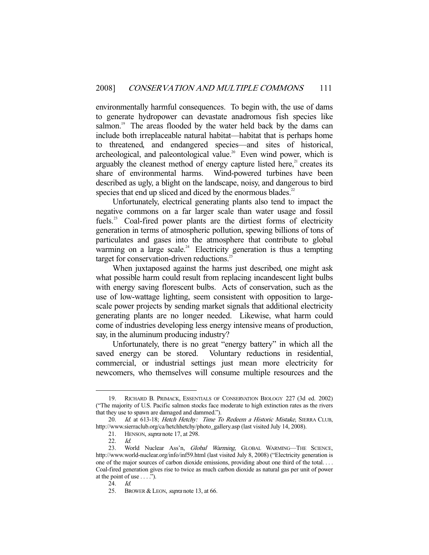environmentally harmful consequences. To begin with, the use of dams to generate hydropower can devastate anadromous fish species like salmon.<sup>19</sup> The areas flooded by the water held back by the dams can include both irreplaceable natural habitat—habitat that is perhaps home to threatened, and endangered species—and sites of historical, archeological, and paleontological value.<sup>20</sup> Even wind power, which is arguably the cleanest method of energy capture listed here, $2<sup>1</sup>$  creates its share of environmental harms. Wind-powered turbines have been described as ugly, a blight on the landscape, noisy, and dangerous to bird species that end up sliced and diced by the enormous blades.<sup>22</sup>

 Unfortunately, electrical generating plants also tend to impact the negative commons on a far larger scale than water usage and fossil fuels.<sup>23</sup> Coal-fired power plants are the dirtiest forms of electricity generation in terms of atmospheric pollution, spewing billions of tons of particulates and gases into the atmosphere that contribute to global warming on a large scale.<sup>24</sup> Electricity generation is thus a tempting target for conservation-driven reductions. $^{25}$ 

 When juxtaposed against the harms just described, one might ask what possible harm could result from replacing incandescent light bulbs with energy saving florescent bulbs. Acts of conservation, such as the use of low-wattage lighting, seem consistent with opposition to largescale power projects by sending market signals that additional electricity generating plants are no longer needed. Likewise, what harm could come of industries developing less energy intensive means of production, say, in the aluminum producing industry?

 Unfortunately, there is no great "energy battery" in which all the saved energy can be stored. Voluntary reductions in residential, commercial, or industrial settings just mean more electricity for newcomers, who themselves will consume multiple resources and the

 <sup>19.</sup> RICHARD B. PRIMACK, ESSENTIALS OF CONSERVATION BIOLOGY 227 (3d ed. 2002) ("The majority of U.S. Pacific salmon stocks face moderate to high extinction rates as the rivers that they use to spawn are damaged and dammed.").

<sup>20.</sup> Id. at 613-18; Hetch Hetchy: Time To Redeem a Historic Mistake, SIERRA CLUB, http://www.sierraclub.org/ca/hetchhetchy/photo\_gallery.asp (last visited July 14, 2008).

<sup>21.</sup> HENSON, *supra* note 17, at 298.

 <sup>22.</sup> Id.

<sup>23.</sup> World Nuclear Ass'n, Global Warming, GLOBAL WARMING-THE SCIENCE, http://www.world-nuclear.org/info/inf59.html (last visited July 8, 2008) ("Electricity generation is one of the major sources of carbon dioxide emissions, providing about one third of the total. . . . Coal-fired generation gives rise to twice as much carbon dioxide as natural gas per unit of power at the point of use  $\dots$ .").

 <sup>24.</sup> Id.

<sup>25.</sup> BROWER & LEON, *supra* note 13, at 66.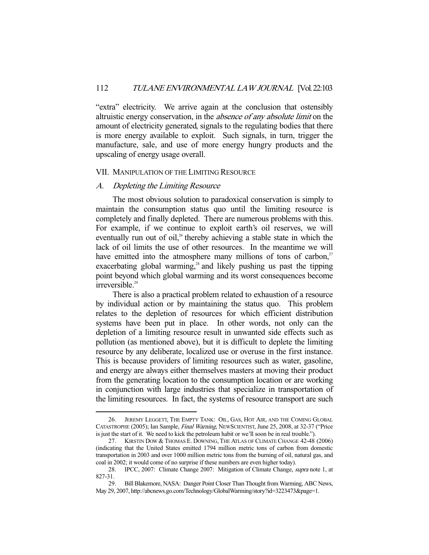"extra" electricity. We arrive again at the conclusion that ostensibly altruistic energy conservation, in the absence of any absolute limit on the amount of electricity generated, signals to the regulating bodies that there is more energy available to exploit. Such signals, in turn, trigger the manufacture, sale, and use of more energy hungry products and the upscaling of energy usage overall.

#### VII. MANIPULATION OF THE LIMITING RESOURCE

### A. Depleting the Limiting Resource

-

 The most obvious solution to paradoxical conservation is simply to maintain the consumption status quo until the limiting resource is completely and finally depleted. There are numerous problems with this. For example, if we continue to exploit earth's oil reserves, we will eventually run out of oil,<sup>26</sup> thereby achieving a stable state in which the lack of oil limits the use of other resources. In the meantime we will have emitted into the atmosphere many millions of tons of carbon, $2^7$ exacerbating global warming, $2^s$  and likely pushing us past the tipping point beyond which global warming and its worst consequences become irreversible.<sup>29</sup>

 There is also a practical problem related to exhaustion of a resource by individual action or by maintaining the status quo. This problem relates to the depletion of resources for which efficient distribution systems have been put in place. In other words, not only can the depletion of a limiting resource result in unwanted side effects such as pollution (as mentioned above), but it is difficult to deplete the limiting resource by any deliberate, localized use or overuse in the first instance. This is because providers of limiting resources such as water, gasoline, and energy are always either themselves masters at moving their product from the generating location to the consumption location or are working in conjunction with large industries that specialize in transportation of the limiting resources. In fact, the systems of resource transport are such

 <sup>26.</sup> JEREMY LEGGETT, THE EMPTY TANK: OIL, GAS, HOT AIR, AND THE COMING GLOBAL CATASTROPHE (2005); Ian Sample, Final Warning, NEWSCIENTIST, June 25, 2008, at 32-37 ("Price is just the start of it. We need to kick the petroleum habit or we'll soon be in real trouble.").

 <sup>27.</sup> KIRSTIN DOW & THOMAS E. DOWNING, THE ATLAS OF CLIMATE CHANGE 42-48 (2006) (indicating that the United States emitted 1794 million metric tons of carbon from domestic transportation in 2003 and over 1000 million metric tons from the burning of oil, natural gas, and coal in 2002; it would come of no surprise if these numbers are even higher today).

 <sup>28.</sup> IPCC, 2007: Climate Change 2007: Mitigation of Climate Change, supra note 1, at 827-31.

 <sup>29.</sup> Bill Blakemore, NASA: Danger Point Closer Than Thought from Warming, ABC News, May 29, 2007, http://abcnews.go.com/Technology/GlobalWarming/story?id=3223473&page=1.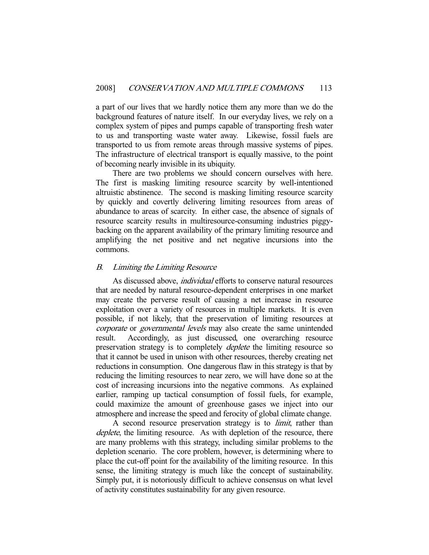a part of our lives that we hardly notice them any more than we do the background features of nature itself. In our everyday lives, we rely on a complex system of pipes and pumps capable of transporting fresh water to us and transporting waste water away. Likewise, fossil fuels are transported to us from remote areas through massive systems of pipes. The infrastructure of electrical transport is equally massive, to the point of becoming nearly invisible in its ubiquity.

 There are two problems we should concern ourselves with here. The first is masking limiting resource scarcity by well-intentioned altruistic abstinence. The second is masking limiting resource scarcity by quickly and covertly delivering limiting resources from areas of abundance to areas of scarcity. In either case, the absence of signals of resource scarcity results in multiresource-consuming industries piggybacking on the apparent availability of the primary limiting resource and amplifying the net positive and net negative incursions into the commons.

# B. Limiting the Limiting Resource

As discussed above, *individual* efforts to conserve natural resources that are needed by natural resource-dependent enterprises in one market may create the perverse result of causing a net increase in resource exploitation over a variety of resources in multiple markets. It is even possible, if not likely, that the preservation of limiting resources at corporate or governmental levels may also create the same unintended result. Accordingly, as just discussed, one overarching resource preservation strategy is to completely *deplete* the limiting resource so that it cannot be used in unison with other resources, thereby creating net reductions in consumption. One dangerous flaw in this strategy is that by reducing the limiting resources to near zero, we will have done so at the cost of increasing incursions into the negative commons. As explained earlier, ramping up tactical consumption of fossil fuels, for example, could maximize the amount of greenhouse gases we inject into our atmosphere and increase the speed and ferocity of global climate change.

A second resource preservation strategy is to *limit*, rather than deplete, the limiting resource. As with depletion of the resource, there are many problems with this strategy, including similar problems to the depletion scenario. The core problem, however, is determining where to place the cut-off point for the availability of the limiting resource. In this sense, the limiting strategy is much like the concept of sustainability. Simply put, it is notoriously difficult to achieve consensus on what level of activity constitutes sustainability for any given resource.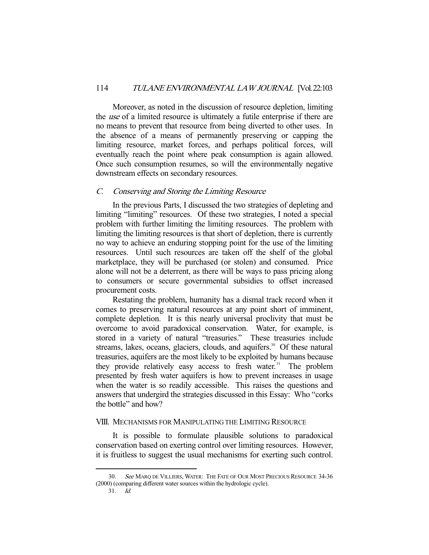Moreover, as noted in the discussion of resource depletion, limiting the use of a limited resource is ultimately a futile enterprise if there are no means to prevent that resource from being diverted to other uses. In the absence of a means of permanently preserving or capping the limiting resource, market forces, and perhaps political forces, will eventually reach the point where peak consumption is again allowed. Once such consumption resumes, so will the environmentally negative downstream effects on secondary resources.

#### C. Conserving and Storing the Limiting Resource

 In the previous Parts, I discussed the two strategies of depleting and limiting "limiting" resources. Of these two strategies, I noted a special problem with further limiting the limiting resources. The problem with limiting the limiting resources is that short of depletion, there is currently no way to achieve an enduring stopping point for the use of the limiting resources. Until such resources are taken off the shelf of the global marketplace, they will be purchased (or stolen) and consumed. Price alone will not be a deterrent, as there will be ways to pass pricing along to consumers or secure governmental subsidies to offset increased procurement costs.

 Restating the problem, humanity has a dismal track record when it comes to preserving natural resources at any point short of imminent, complete depletion. It is this nearly universal proclivity that must be overcome to avoid paradoxical conservation. Water, for example, is stored in a variety of natural "treasuries." These treasuries include streams, lakes, oceans, glaciers, clouds, and aquifers.<sup>30</sup> Of these natural treasuries, aquifers are the most likely to be exploited by humans because they provide relatively easy access to fresh water.<sup>31</sup> The problem presented by fresh water aquifers is how to prevent increases in usage when the water is so readily accessible. This raises the questions and answers that undergird the strategies discussed in this Essay: Who "corks the bottle" and how?

#### VIII. MECHANISMS FOR MANIPULATING THE LIMITING RESOURCE

 It is possible to formulate plausible solutions to paradoxical conservation based on exerting control over limiting resources. However, it is fruitless to suggest the usual mechanisms for exerting such control.

31. Id.

See MARQ DE VILLIERS, WATER: THE FATE OF OUR MOST PRECIOUS RESOURCE 34-36 (2000) (comparing different water sources within the hydrologic cycle).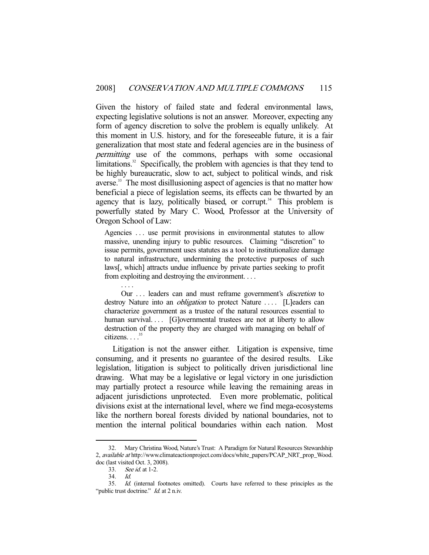Given the history of failed state and federal environmental laws, expecting legislative solutions is not an answer. Moreover, expecting any form of agency discretion to solve the problem is equally unlikely. At this moment in U.S. history, and for the foreseeable future, it is a fair generalization that most state and federal agencies are in the business of permitting use of the commons, perhaps with some occasional limitations. $32$  Specifically, the problem with agencies is that they tend to be highly bureaucratic, slow to act, subject to political winds, and risk averse.<sup>33</sup> The most disillusioning aspect of agencies is that no matter how beneficial a piece of legislation seems, its effects can be thwarted by an agency that is lazy, politically biased, or corrupt.<sup>34</sup> This problem is powerfully stated by Mary C. Wood, Professor at the University of Oregon School of Law:

Agencies ... use permit provisions in environmental statutes to allow massive, unending injury to public resources. Claiming "discretion" to issue permits, government uses statutes as a tool to institutionalize damage to natural infrastructure, undermining the protective purposes of such laws[, which] attracts undue influence by private parties seeking to profit from exploiting and destroying the environment. . . .

Our ... leaders can and must reframe government's *discretion* to destroy Nature into an *obligation* to protect Nature .... [L]eaders can characterize government as a trustee of the natural resources essential to human survival.... [G]overnmental trustees are not at liberty to allow destruction of the property they are charged with managing on behalf of citizens.  $\frac{35}{2}$ 

 Litigation is not the answer either. Litigation is expensive, time consuming, and it presents no guarantee of the desired results. Like legislation, litigation is subject to politically driven jurisdictional line drawing. What may be a legislative or legal victory in one jurisdiction may partially protect a resource while leaving the remaining areas in adjacent jurisdictions unprotected. Even more problematic, political divisions exist at the international level, where we find mega-ecosystems like the northern boreal forests divided by national boundaries, not to mention the internal political boundaries within each nation. Most

. . . .

 <sup>32.</sup> Mary Christina Wood, Nature's Trust: A Paradigm for Natural Resources Stewardship 2, available at http://www.climateactionproject.com/docs/white\_papers/PCAP\_NRT\_prop\_Wood. doc (last visited Oct. 3, 2008).

 <sup>33.</sup> See id. at 1-2.

 <sup>34.</sup> Id.

 <sup>35.</sup> Id. (internal footnotes omitted). Courts have referred to these principles as the "public trust doctrine." *Id.* at 2 n.iv.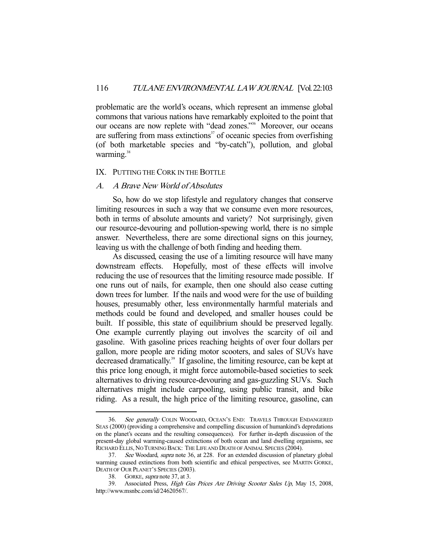problematic are the world's oceans, which represent an immense global commons that various nations have remarkably exploited to the point that our oceans are now replete with "dead zones."<sup>36</sup> Moreover, our oceans are suffering from mass extinctions<sup>37</sup> of oceanic species from overfishing (of both marketable species and "by-catch"), pollution, and global warming.<sup>38</sup>

#### IX. PUTTING THE CORK IN THE BOTTLE

#### A. A Brave New World of Absolutes

 So, how do we stop lifestyle and regulatory changes that conserve limiting resources in such a way that we consume even more resources, both in terms of absolute amounts and variety? Not surprisingly, given our resource-devouring and pollution-spewing world, there is no simple answer. Nevertheless, there are some directional signs on this journey, leaving us with the challenge of both finding and heeding them.

 As discussed, ceasing the use of a limiting resource will have many downstream effects. Hopefully, most of these effects will involve reducing the use of resources that the limiting resource made possible. If one runs out of nails, for example, then one should also cease cutting down trees for lumber. If the nails and wood were for the use of building houses, presumably other, less environmentally harmful materials and methods could be found and developed, and smaller houses could be built. If possible, this state of equilibrium should be preserved legally. One example currently playing out involves the scarcity of oil and gasoline. With gasoline prices reaching heights of over four dollars per gallon, more people are riding motor scooters, and sales of SUVs have decreased dramatically.<sup>39</sup> If gasoline, the limiting resource, can be kept at this price long enough, it might force automobile-based societies to seek alternatives to driving resource-devouring and gas-guzzling SUVs. Such alternatives might include carpooling, using public transit, and bike riding. As a result, the high price of the limiting resource, gasoline, can

<sup>36.</sup> See generally COLIN WOODARD, OCEAN'S END: TRAVELS THROUGH ENDANGERED SEAS (2000) (providing a comprehensive and compelling discussion of humankind's depredations on the planet's oceans and the resulting consequences). For further in-depth discussion of the present-day global warming-caused extinctions of both ocean and land dwelling organisms, see RICHARD ELLIS, NO TURNING BACK: THE LIFE AND DEATH OF ANIMAL SPECIES (2004).

 <sup>37.</sup> See Woodard, supra note 36, at 228. For an extended discussion of planetary global warming caused extinctions from both scientific and ethical perspectives, see MARTIN GORKE, DEATH OF OUR PLANET'S SPECIES (2003).

 <sup>38.</sup> GORKE, supra note 37, at 3.

 <sup>39.</sup> Associated Press, High Gas Prices Are Driving Scooter Sales Up, May 15, 2008, http://www.msnbc.com/id/24620567/.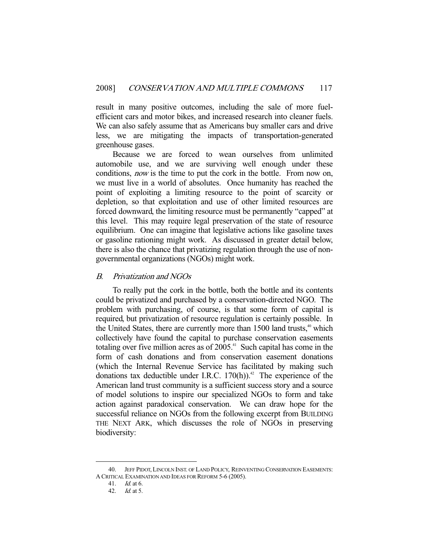result in many positive outcomes, including the sale of more fuelefficient cars and motor bikes, and increased research into cleaner fuels. We can also safely assume that as Americans buy smaller cars and drive less, we are mitigating the impacts of transportation-generated greenhouse gases.

 Because we are forced to wean ourselves from unlimited automobile use, and we are surviving well enough under these conditions, *now* is the time to put the cork in the bottle. From now on, we must live in a world of absolutes. Once humanity has reached the point of exploiting a limiting resource to the point of scarcity or depletion, so that exploitation and use of other limited resources are forced downward, the limiting resource must be permanently "capped" at this level. This may require legal preservation of the state of resource equilibrium. One can imagine that legislative actions like gasoline taxes or gasoline rationing might work. As discussed in greater detail below, there is also the chance that privatizing regulation through the use of nongovernmental organizations (NGOs) might work.

# B. Privatization and NGOs

 To really put the cork in the bottle, both the bottle and its contents could be privatized and purchased by a conservation-directed NGO. The problem with purchasing, of course, is that some form of capital is required, but privatization of resource regulation is certainly possible. In the United States, there are currently more than  $1500$  land trusts,<sup>40</sup> which collectively have found the capital to purchase conservation easements totaling over five million acres as of  $2005$ .<sup>41</sup> Such capital has come in the form of cash donations and from conservation easement donations (which the Internal Revenue Service has facilitated by making such donations tax deductible under I.R.C.  $170(h)$ .<sup>42</sup> The experience of the American land trust community is a sufficient success story and a source of model solutions to inspire our specialized NGOs to form and take action against paradoxical conservation. We can draw hope for the successful reliance on NGOs from the following excerpt from BUILDING THE NEXT ARK, which discusses the role of NGOs in preserving biodiversity:

 <sup>40.</sup> JEFF PIDOT, LINCOLN INST. OF LAND POLICY, REINVENTING CONSERVATION EASEMENTS: A CRITICAL EXAMINATION AND IDEAS FOR REFORM 5-6 (2005).

 <sup>41.</sup> Id. at 6.

 <sup>42.</sup> Id. at 5.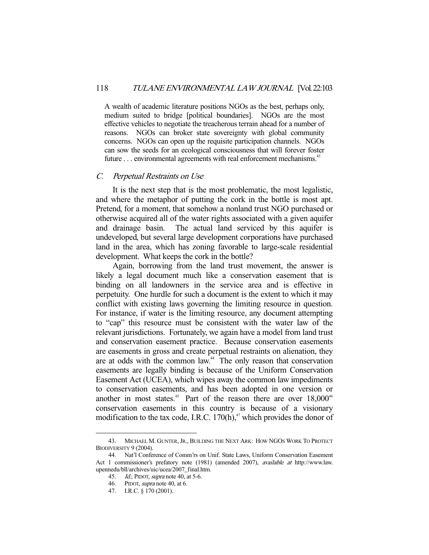A wealth of academic literature positions NGOs as the best, perhaps only, medium suited to bridge [political boundaries]. NGOs are the most effective vehicles to negotiate the treacherous terrain ahead for a number of reasons. NGOs can broker state sovereignty with global community concerns. NGOs can open up the requisite participation channels. NGOs can sow the seeds for an ecological consciousness that will forever foster future  $\dots$  environmental agreements with real enforcement mechanisms.<sup>43</sup>

#### C. Perpetual Restraints on Use

 It is the next step that is the most problematic, the most legalistic, and where the metaphor of putting the cork in the bottle is most apt. Pretend, for a moment, that somehow a nonland trust NGO purchased or otherwise acquired all of the water rights associated with a given aquifer and drainage basin. The actual land serviced by this aquifer is undeveloped, but several large development corporations have purchased land in the area, which has zoning favorable to large-scale residential development. What keeps the cork in the bottle?

 Again, borrowing from the land trust movement, the answer is likely a legal document much like a conservation easement that is binding on all landowners in the service area and is effective in perpetuity. One hurdle for such a document is the extent to which it may conflict with existing laws governing the limiting resource in question. For instance, if water is the limiting resource, any document attempting to "cap" this resource must be consistent with the water law of the relevant jurisdictions. Fortunately, we again have a model from land trust and conservation easement practice. Because conservation easements are easements in gross and create perpetual restraints on alienation, they are at odds with the common law.<sup>44</sup> The only reason that conservation easements are legally binding is because of the Uniform Conservation Easement Act (UCEA), which wipes away the common law impediments to conservation easements, and has been adopted in one version or another in most states.<sup>45</sup> Part of the reason there are over  $18,000^{46}$ conservation easements in this country is because of a visionary modification to the tax code, I.R.C.  $170(h)$ ,<sup>47</sup> which provides the donor of

 <sup>43.</sup> MICHAEL M. GUNTER,JR., BUILDING THE NEXT ARK: HOW NGOS WORK TO PROTECT BIODIVERSITY 9 (2004).

 <sup>44.</sup> Nat'l Conference of Comm'rs on Unif. State Laws, Uniform Conservation Easement Act 1 commissioner's prefatory note (1981) (amended 2007), available at http://www.law. upennedu/bll/archives/uic/ucea/2007\_final.htm.

<sup>45.</sup> *Id.*; PIDOT, *supra* note 40, at 5-6.

 <sup>46.</sup> PIDOT, supra note 40, at 6.

 <sup>47.</sup> I.R.C. § 170 (2001).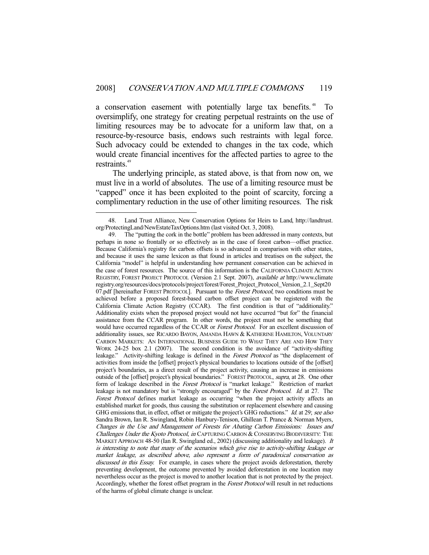a conservation easement with potentially large tax benefits.<sup>48</sup> To oversimplify, one strategy for creating perpetual restraints on the use of limiting resources may be to advocate for a uniform law that, on a resource-by-resource basis, endows such restraints with legal force. Such advocacy could be extended to changes in the tax code, which would create financial incentives for the affected parties to agree to the restraints.<sup>49</sup>

 The underlying principle, as stated above, is that from now on, we must live in a world of absolutes. The use of a limiting resource must be "capped" once it has been exploited to the point of scarcity, forcing a complimentary reduction in the use of other limiting resources. The risk

 <sup>48.</sup> Land Trust Alliance, New Conservation Options for Heirs to Land, http://landtrust. org/ProtectingLand/NewEstateTaxOptions.htm (last visited Oct. 3, 2008).

 <sup>49.</sup> The "putting the cork in the bottle" problem has been addressed in many contexts, but perhaps in none so frontally or so effectively as in the case of forest carbon—offset practice. Because California's registry for carbon offsets is so advanced in comparison with other states, and because it uses the same lexicon as that found in articles and treatises on the subject, the California "model" is helpful in understanding how permanent conservation can be achieved in the case of forest resources. The source of this information is the CALIFORNIA CLIMATE ACTION REGISTRY, FOREST PROJECT PROTOCOL (Version 2.1 Sept. 2007), *available at* http://www.climate registry.org/resources/docs/protocols/project/forest/Forest\_Project\_Protocol\_Version\_2.1\_Sept20 07.pdf [hereinafter FOREST PROTOCOL]. Pursuant to the *Forest Protocol*, two conditions must be achieved before a proposed forest-based carbon offset project can be registered with the California Climate Action Registry (CCAR). The first condition is that of "additionality." Additionality exists when the proposed project would not have occurred "but for" the financial assistance from the CCAR program. In other words, the project must not be something that would have occurred regardless of the CCAR or Forest Protocol. For an excellent discussion of additionality issues, see RICARDO BAYON, AMANDA HAWN & KATHERINE HAMILTON, VOLUNTARY CARBON MARKETS: AN INTERNATIONAL BUSINESS GUIDE TO WHAT THEY ARE AND HOW THEY WORK 24-25 box 2.1 (2007). The second condition is the avoidance of "activity-shifting leakage." Activity-shifting leakage is defined in the *Forest Protocol* as "the displacement of activities from inside the [offset] project's physical boundaries to locations outside of the [offset] project's boundaries, as a direct result of the project activity, causing an increase in emissions outside of the [offset] project's physical boundaries." FOREST PROTOCOL, supra, at 28. One other form of leakage described in the Forest Protocol is "market leakage." Restriction of market leakage is not mandatory but is "strongly encouraged" by the Forest Protocol. Id. at 27. The Forest Protocol defines market leakage as occurring "when the project activity affects an established market for goods, thus causing the substitution or replacement elsewhere and causing GHG emissions that, in effect, offset or mitigate the project's GHG reductions." Id. at 29; see also Sandra Brown, Ian R. Swingland, Robin Hanbury-Tenison, Ghillean T. Prance & Norman Myers, Changes in the Use and Management of Forests for Abating Carbon Emissions: Issues and Challenges Under the Kyoto Protocol, in CAPTURING CARBON & CONSERVING BIODIVERSITY: THE MARKET APPROACH 48-50 (Ian R. Swingland ed., 2002) (discussing additionality and leakage). It is interesting to note that many of the scenarios which give rise to activity-shifting leakage or market leakage, as described above, also represent a form of paradoxical conservation as discussed in this Essay. For example, in cases where the project avoids deforestation, thereby preventing development, the outcome prevented by avoided deforestation in one location may nevertheless occur as the project is moved to another location that is not protected by the project. Accordingly, whether the forest offset program in the Forest Protocol will result in net reductions of the harms of global climate change is unclear.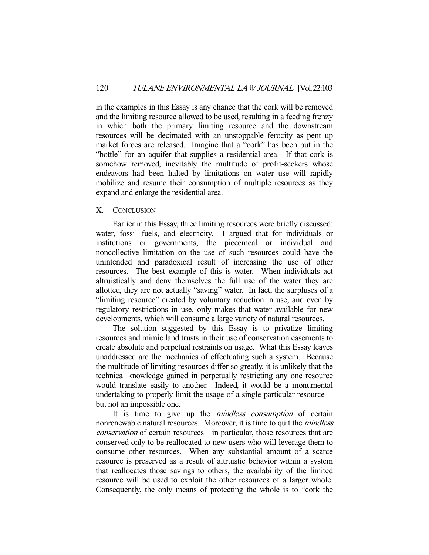in the examples in this Essay is any chance that the cork will be removed and the limiting resource allowed to be used, resulting in a feeding frenzy in which both the primary limiting resource and the downstream resources will be decimated with an unstoppable ferocity as pent up market forces are released. Imagine that a "cork" has been put in the "bottle" for an aquifer that supplies a residential area. If that cork is somehow removed, inevitably the multitude of profit-seekers whose endeavors had been halted by limitations on water use will rapidly mobilize and resume their consumption of multiple resources as they expand and enlarge the residential area.

#### X. CONCLUSION

 Earlier in this Essay, three limiting resources were briefly discussed: water, fossil fuels, and electricity. I argued that for individuals or institutions or governments, the piecemeal or individual and noncollective limitation on the use of such resources could have the unintended and paradoxical result of increasing the use of other resources. The best example of this is water. When individuals act altruistically and deny themselves the full use of the water they are allotted, they are not actually "saving" water. In fact, the surpluses of a "limiting resource" created by voluntary reduction in use, and even by regulatory restrictions in use, only makes that water available for new developments, which will consume a large variety of natural resources.

 The solution suggested by this Essay is to privatize limiting resources and mimic land trusts in their use of conservation easements to create absolute and perpetual restraints on usage. What this Essay leaves unaddressed are the mechanics of effectuating such a system. Because the multitude of limiting resources differ so greatly, it is unlikely that the technical knowledge gained in perpetually restricting any one resource would translate easily to another. Indeed, it would be a monumental undertaking to properly limit the usage of a single particular resource but not an impossible one.

It is time to give up the *mindless consumption* of certain nonrenewable natural resources. Moreover, it is time to quit the *mindless* conservation of certain resources—in particular, those resources that are conserved only to be reallocated to new users who will leverage them to consume other resources. When any substantial amount of a scarce resource is preserved as a result of altruistic behavior within a system that reallocates those savings to others, the availability of the limited resource will be used to exploit the other resources of a larger whole. Consequently, the only means of protecting the whole is to "cork the